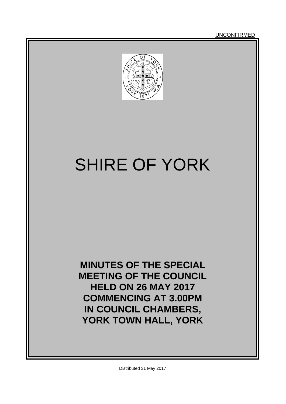UNCONFIRMED



# SHIRE OF YORK

**MINUTES OF THE SPECIAL MEETING OF THE COUNCIL HELD ON 26 MAY 2017 COMMENCING AT 3.00PM IN COUNCIL CHAMBERS, YORK TOWN HALL, YORK**

Distributed 31 May 2017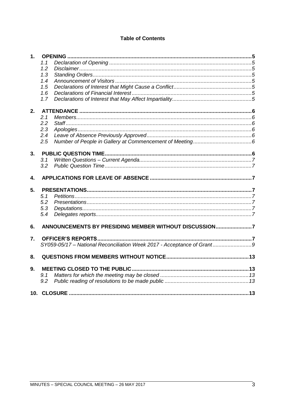# **Table of Contents**

| 1. |                                                                       |     |
|----|-----------------------------------------------------------------------|-----|
|    | 1.1                                                                   |     |
|    | 1.2                                                                   |     |
|    | 1.3                                                                   |     |
|    | 1.4                                                                   |     |
|    | 1.5                                                                   |     |
|    | 1.6                                                                   |     |
|    | 1.7                                                                   |     |
| 2. |                                                                       |     |
|    | 2.1                                                                   |     |
|    | 2.2                                                                   |     |
|    | 2.3                                                                   |     |
|    | 2.4                                                                   |     |
|    | 2.5                                                                   |     |
| 3. |                                                                       |     |
|    | 3.1                                                                   |     |
|    | 3.2                                                                   |     |
| 4. |                                                                       |     |
| 5. |                                                                       |     |
|    | 5.1                                                                   |     |
|    | 5.2                                                                   |     |
|    | 5.3                                                                   |     |
|    | 5.4                                                                   |     |
| 6. | ANNOUNCEMENTS BY PRESIDING MEMBER WITHOUT DISCUSSION7                 |     |
| 7. |                                                                       |     |
|    | SY059-05/17 - National Reconciliation Week 2017 - Acceptance of Grant |     |
| 8. |                                                                       |     |
| 9. |                                                                       |     |
|    | 9.1                                                                   |     |
|    | 9.2                                                                   |     |
|    | 10. CLOSURE                                                           | .13 |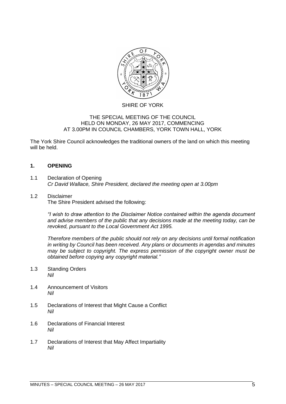

#### SHIRE OF YORK

#### THE SPECIAL MEETING OF THE COUNCIL HELD ON MONDAY, 26 MAY 2017, COMMENCING AT 3.00PM IN COUNCIL CHAMBERS, YORK TOWN HALL, YORK

The York Shire Council acknowledges the traditional owners of the land on which this meeting will be held.

#### <span id="page-4-0"></span>**1. OPENING**

- <span id="page-4-1"></span>1.1 Declaration of Opening *Cr David Wallace, Shire President, declared the meeting open at 3.00pm*
- <span id="page-4-2"></span>1.2 Disclaimer The Shire President advised the following:

*"I wish to draw attention to the Disclaimer Notice contained within the agenda document and advise members of the public that any decisions made at the meeting today, can be revoked, pursuant to the Local Government Act 1995.* 

*Therefore members of the public should not rely on any decisions until formal notification in writing by Council has been received. Any plans or documents in agendas and minutes may be subject to copyright. The express permission of the copyright owner must be obtained before copying any copyright material."*

- <span id="page-4-3"></span>1.3 Standing Orders *Nil*
- <span id="page-4-4"></span>1.4 Announcement of Visitors *Nil*
- <span id="page-4-5"></span>1.5 Declarations of Interest that Might Cause a Conflict *Nil*
- <span id="page-4-6"></span>1.6 Declarations of Financial Interest *Nil*
- <span id="page-4-7"></span>1.7 Declarations of Interest that May Affect Impartiality *Nil*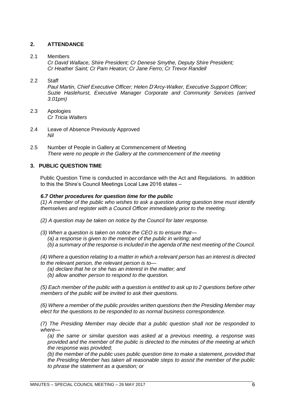# <span id="page-5-0"></span>**2. ATTENDANCE**

## <span id="page-5-1"></span>2.1 Members

*Cr David Wallace, Shire President; Cr Denese Smythe, Deputy Shire President; Cr Heather Saint; Cr Pam Heaton; Cr Jane Ferro; Cr Trevor Randell*

## <span id="page-5-2"></span>2.2 Staff

*Paul Martin, Chief Executive Officer; Helen D'Arcy-Walker, Executive Support Officer; Suzie Haslehurst, Executive Manager Corporate and Community Services (arrived 3.01pm)*

- <span id="page-5-3"></span>2.3 Apologies *Cr Tricia Walters*
- <span id="page-5-4"></span>2.4 Leave of Absence Previously Approved *Nil*
- <span id="page-5-5"></span>2.5 Number of People in Gallery at Commencement of Meeting *There were no people in the Gallery at the commencement of the meeting*

# <span id="page-5-6"></span>**3. PUBLIC QUESTION TIME**

Public Question Time is conducted in accordance with the Act and Regulations. In addition to this the Shire's Council Meetings Local Law 2016 states –

## *6.7 Other procedures for question time for the public*

*(1) A member of the public who wishes to ask a question during question time must identify themselves and register with a Council Officer immediately prior to the meeting.* 

- *(2) A question may be taken on notice by the Council for later response.*
- *(3) When a question is taken on notice the CEO is to ensure that— (a) a response is given to the member of the public in writing; and (b) a summary of the response is included in the agenda of the next meeting of the Council.*

*(4) Where a question relating to a matter in which a relevant person has an interest is directed to the relevant person, the relevant person is to—*

- *(a) declare that he or she has an interest in the matter; and*
- *(b) allow another person to respond to the question.*

*(5) Each member of the public with a question is entitled to ask up to 2 questions before other members of the public will be invited to ask their questions.* 

*(6) Where a member of the public provides written questions then the Presiding Member may elect for the questions to be responded to as normal business correspondence.* 

*(7) The Presiding Member may decide that a public question shall not be responded to where—*

*(a) the same or similar question was asked at a previous meeting, a response was provided and the member of the public is directed to the minutes of the meeting at which the response was provided;* 

*(b) the member of the public uses public question time to make a statement, provided that the Presiding Member has taken all reasonable steps to assist the member of the public to phrase the statement as a question; or*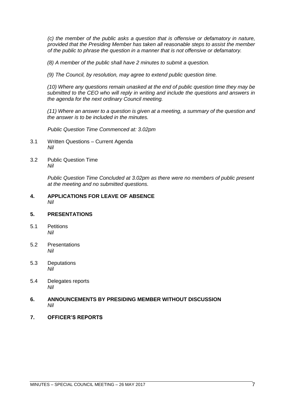*(c) the member of the public asks a question that is offensive or defamatory in nature, provided that the Presiding Member has taken all reasonable steps to assist the member of the public to phrase the question in a manner that is not offensive or defamatory.* 

*(8) A member of the public shall have 2 minutes to submit a question.* 

*(9) The Council, by resolution, may agree to extend public question time.* 

*(10) Where any questions remain unasked at the end of public question time they may be submitted to the CEO who will reply in writing and include the questions and answers in the agenda for the next ordinary Council meeting.* 

*(11) Where an answer to a question is given at a meeting, a summary of the question and the answer is to be included in the minutes.*

*Public Question Time Commenced at: 3.02pm*

- <span id="page-6-0"></span>3.1 Written Questions – Current Agenda *Nil*
- <span id="page-6-1"></span>3.2 Public Question Time *Nil*

*Public Question Time Concluded at 3.02pm as there were no members of public present at the meeting and no submitted questions.*

#### <span id="page-6-2"></span>**4. APPLICATIONS FOR LEAVE OF ABSENCE**  *Nil*

## <span id="page-6-3"></span>**5. PRESENTATIONS**

- <span id="page-6-4"></span>5.1 Petitions *Nil*
- <span id="page-6-5"></span>5.2 Presentations *Nil*
- <span id="page-6-6"></span>5.3 Deputations *Nil*
- <span id="page-6-7"></span>5.4 Delegates reports *Nil*

#### <span id="page-6-8"></span>**6. ANNOUNCEMENTS BY PRESIDING MEMBER WITHOUT DISCUSSION** *Nil*

<span id="page-6-9"></span>**7. OFFICER'S REPORTS**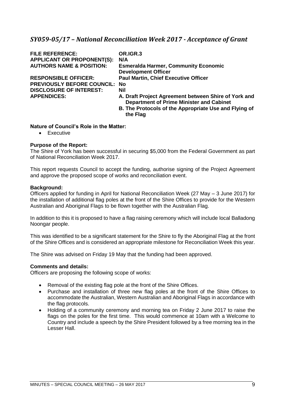# <span id="page-8-0"></span>*SY059-05/17 – National Reconciliation Week 2017 - Acceptance of Grant*

| <b>FILE REFERENCE:</b>               | OR.IGR.3                                              |
|--------------------------------------|-------------------------------------------------------|
| <b>APPLICANT OR PROPONENT(S):</b>    | N/A                                                   |
| <b>AUTHORS NAME &amp; POSITION:</b>  | <b>Esmeralda Harmer, Community Economic</b>           |
|                                      | <b>Development Officer</b>                            |
| <b>RESPONSIBLE OFFICER:</b>          | <b>Paul Martin, Chief Executive Officer</b>           |
| <b>PREVIOUSLY BEFORE COUNCIL: No</b> |                                                       |
| <b>DISCLOSURE OF INTEREST:</b>       | <b>Nil</b>                                            |
| <b>APPENDICES:</b>                   | A. Draft Project Agreement between Shire of York and  |
|                                      | <b>Department of Prime Minister and Cabinet</b>       |
|                                      | B. The Protocols of the Appropriate Use and Flying of |
|                                      | the Flag                                              |

#### **Nature of Council's Role in the Matter:**

• Executive

#### **Purpose of the Report:**

The Shire of York has been successful in securing \$5,000 from the Federal Government as part of National Reconciliation Week 2017.

This report requests Council to accept the funding, authorise signing of the Project Agreement and approve the proposed scope of works and reconciliation event.

#### **Background:**

Officers applied for funding in April for National Reconciliation Week (27 May – 3 June 2017) for the installation of additional flag poles at the front of the Shire Offices to provide for the Western Australian and Aboriginal Flags to be flown together with the Australian Flag.

In addition to this it is proposed to have a flag raising ceremony which will include local Balladong Noongar people.

This was identified to be a significant statement for the Shire to fly the Aboriginal Flag at the front of the Shire Offices and is considered an appropriate milestone for Reconciliation Week this year.

The Shire was advised on Friday 19 May that the funding had been approved.

#### **Comments and details:**

Officers are proposing the following scope of works:

- Removal of the existing flag pole at the front of the Shire Offices.
- Purchase and installation of three new flag poles at the front of the Shire Offices to accommodate the Australian, Western Australian and Aboriginal Flags in accordance with the flag protocols.
- Holding of a community ceremony and morning tea on Friday 2 June 2017 to raise the flags on the poles for the first time. This would commence at 10am with a Welcome to Country and include a speech by the Shire President followed by a free morning tea in the Lesser Hall.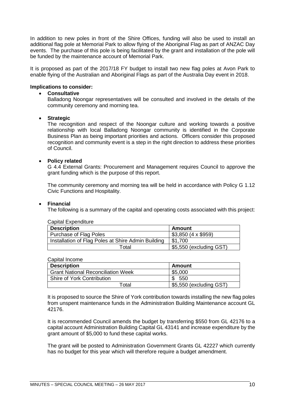In addition to new poles in front of the Shire Offices, funding will also be used to install an additional flag pole at Memorial Park to allow flying of the Aboriginal Flag as part of ANZAC Day events. The purchase of this pole is being facilitated by the grant and installation of the pole will be funded by the maintenance account of Memorial Park.

It is proposed as part of the 2017/18 FY budget to install two new flag poles at Avon Park to enable flying of the Australian and Aboriginal Flags as part of the Australia Day event in 2018.

#### **Implications to consider:**

#### • **Consultative**

Balladong Noongar representatives will be consulted and involved in the details of the community ceremony and morning tea.

#### • **Strategic**

The recognition and respect of the Noongar culture and working towards a positive relationship with local Balladong Noongar community is identified in the Corporate Business Plan as being important priorities and actions. Officers consider this proposed recognition and community event is a step in the right direction to address these priorities of Council.

#### • **Policy related**

G 4.4 External Grants: Procurement and Management requires Council to approve the grant funding which is the purpose of this report.

The community ceremony and morning tea will be held in accordance with Policy G 1.12 Civic Functions and Hospitality.

#### • **Financial**

The following is a summary of the capital and operating costs associated with this project:

| <b>Capital Expenditure</b>                         |                         |  |  |
|----------------------------------------------------|-------------------------|--|--|
| <b>Description</b>                                 | Amount                  |  |  |
| Purchase of Flag Poles                             | $$3,850$ (4 x \$959)    |  |  |
| Installation of Flag Poles at Shire Admin Building | \$1.700                 |  |  |
| Total                                              | \$5,550 (excluding GST) |  |  |

#### Capital Income

| <b>Description</b>                        | Amount                  |
|-------------------------------------------|-------------------------|
| <b>Grant National Reconciliation Week</b> | \$5,000                 |
| Shire of York Contribution                | 550                     |
| -ิotal                                    | \$5,550 (excluding GST) |

It is proposed to source the Shire of York contribution towards installing the new flag poles from unspent maintenance funds in the Administration Building Maintenance account GL 42176.

It is recommended Council amends the budget by transferring \$550 from GL 42176 to a capital account Administration Building Capital GL 43141 and increase expenditure by the grant amount of \$5,000 to fund these capital works.

The grant will be posted to Administration Government Grants GL 42227 which currently has no budget for this year which will therefore require a budget amendment.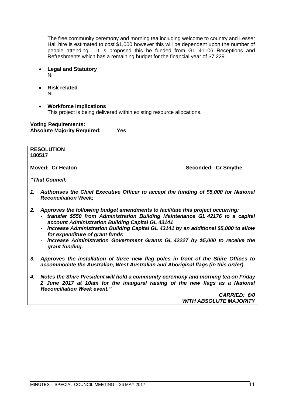The free community ceremony and morning tea including welcome to country and Lesser Hall hire is estimated to cost \$1,000 however this will be dependent upon the number of people attending. It is proposed this be funded from GL 41106 Receptions and Refreshments which has a remaining budget for the financial year of \$7,229.

- **Legal and Statutory** Nil
- **Risk related** Nil
- **Workforce Implications** This project is being delivered within existing resource allocations.

**Voting Requirements: Absolute Majority Required: Yes**

**RESOLUTION 180517**

**Moved: Cr Heaton Seconded: Cr Smythe**

*"That Council:*

- *1. Authorises the Chief Executive Officer to accept the funding of \$5,000 for National Reconciliation Week;*
- *2. Approves the following budget amendments to facilitate this project occurring:*
	- *- transfer \$550 from Administration Building Maintenance GL 42176 to a capital account Administration Building Capital GL 43141*
	- *- increase Administration Building Capital GL 43141 by an additional \$5,000 to allow for expenditure of grant funds*
	- *- increase Administration Government Grants GL 42227 by \$5,000 to receive the grant funding.*
- *3. Approves the installation of three new flag poles in front of the Shire Offices to accommodate the Australian, West Australian and Aboriginal flags (in this order).*
- *4. Notes the Shire President will hold a community ceremony and morning tea on Friday 2 June 2017 at 10am for the inaugural raising of the new flags as a National Reconciliation Week event."*

*CARRIED: 6/0 WITH ABSOLUTE MAJORITY*